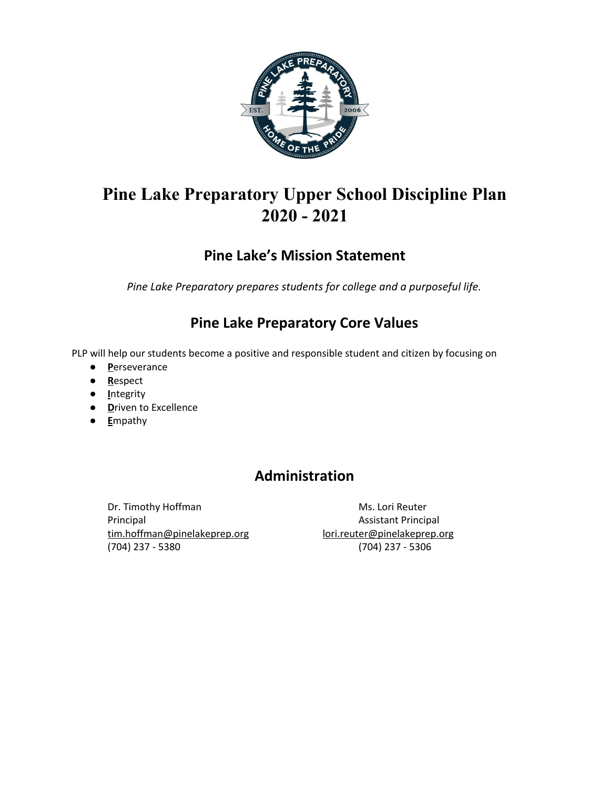

# **Pine Lake Preparatory Upper School Discipline Plan 2020 - 2021**

# **Pine Lake's Mission Statement**

*Pine Lake Preparatory prepares students for college and a purposeful life.*

## **Pine Lake Preparatory Core Values**

PLP will help our students become a positive and responsible student and citizen by focusing on

- **P**erseverance
- **R**espect
- **I**ntegrity
- **D**riven to Excellence
- **E**mpathy

# **Administration**

Dr. Timothy Hoffman Ms. Lori Reuter Principal **Assistant Principal** [tim.hoffman@pinelakeprep.org](mailto:tim.hoffman@pinelakeprep.org) [lori.reuter@pinelakeprep.org](mailto:lori.reuter@pinelakeprep.org) (704) 237 - 5380 (704) 237 - 5306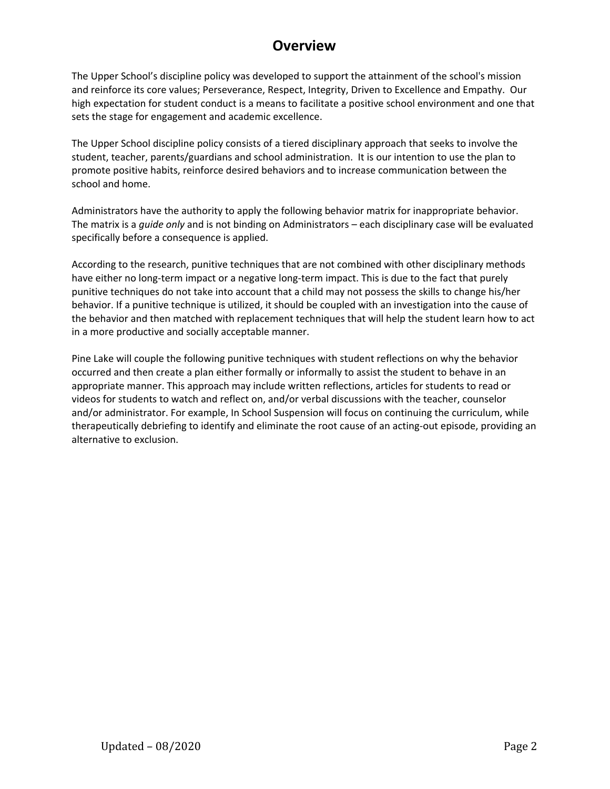## **Overview**

The Upper School's discipline policy was developed to support the attainment of the school's mission and reinforce its core values; Perseverance, Respect, Integrity, Driven to Excellence and Empathy. Our high expectation for student conduct is a means to facilitate a positive school environment and one that sets the stage for engagement and academic excellence.

The Upper School discipline policy consists of a tiered disciplinary approach that seeks to involve the student, teacher, parents/guardians and school administration. It is our intention to use the plan to promote positive habits, reinforce desired behaviors and to increase communication between the school and home.

Administrators have the authority to apply the following behavior matrix for inappropriate behavior. The matrix is a *guide only* and is not binding on Administrators – each disciplinary case will be evaluated specifically before a consequence is applied.

[According](http://www.nasponline.org/publications/booksproducts/hchs3_samples/s4h18_discipline.pdf) to the research, punitive techniques that are not combined with other disciplinary methods have either no long-term impact or a negative long-term impact. This is due to the fact that purely punitive techniques do not take into account that a child may not possess the skills to change his/her behavior. If a punitive technique is utilized, it should be coupled with an investigation into the cause of the behavior and then matched with replacement techniques that will help the student learn how to act in a more productive and socially acceptable manner.

Pine Lake will couple the following punitive techniques with student reflections on why the behavior occurred and then create a plan either formally or informally to assist the student to behave in an appropriate manner. This approach may include written reflections, articles for students to read or videos for students to watch and reflect on, and/or verbal discussions with the teacher, counselor and/or administrator. For example, In School Suspension will focus on continuing the curriculum, while therapeutically debriefing to identify and eliminate the root cause of an acting-out episode, providing an alternative to exclusion.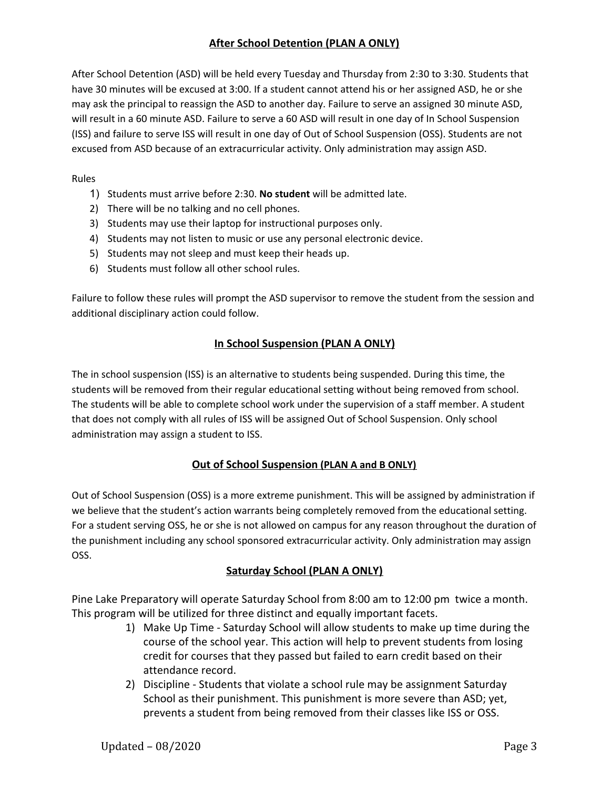## **After School Detention (PLAN A ONLY)**

After School Detention (ASD) will be held every Tuesday and Thursday from 2:30 to 3:30. Students that have 30 minutes will be excused at 3:00. If a student cannot attend his or her assigned ASD, he or she may ask the principal to reassign the ASD to another day. Failure to serve an assigned 30 minute ASD, will result in a 60 minute ASD. Failure to serve a 60 ASD will result in one day of In School Suspension (ISS) and failure to serve ISS will result in one day of Out of School Suspension (OSS). Students are not excused from ASD because of an extracurricular activity. Only administration may assign ASD.

#### Rules

- 1) Students must arrive before 2:30. **No student** will be admitted late.
- 2) There will be no talking and no cell phones.
- 3) Students may use their laptop for instructional purposes only.
- 4) Students may not listen to music or use any personal electronic device.
- 5) Students may not sleep and must keep their heads up.
- 6) Students must follow all other school rules.

Failure to follow these rules will prompt the ASD supervisor to remove the student from the session and additional disciplinary action could follow.

## **In School Suspension (PLAN A ONLY)**

The in school suspension (ISS) is an alternative to students being suspended. During this time, the students will be removed from their regular educational setting without being removed from school. The students will be able to complete school work under the supervision of a staff member. A student that does not comply with all rules of ISS will be assigned Out of School Suspension. Only school administration may assign a student to ISS.

### **Out of School Suspension (PLAN A and B ONLY)**

Out of School Suspension (OSS) is a more extreme punishment. This will be assigned by administration if we believe that the student's action warrants being completely removed from the educational setting. For a student serving OSS, he or she is not allowed on campus for any reason throughout the duration of the punishment including any school sponsored extracurricular activity. Only administration may assign OSS.

### **Saturday School (PLAN A ONLY)**

Pine Lake Preparatory will operate Saturday School from 8:00 am to 12:00 pm twice a month. This program will be utilized for three distinct and equally important facets.

- 1) Make Up Time Saturday School will allow students to make up time during the course of the school year. This action will help to prevent students from losing credit for courses that they passed but failed to earn credit based on their attendance record.
- 2) Discipline Students that violate a school rule may be assignment Saturday School as their punishment. This punishment is more severe than ASD; yet, prevents a student from being removed from their classes like ISS or OSS.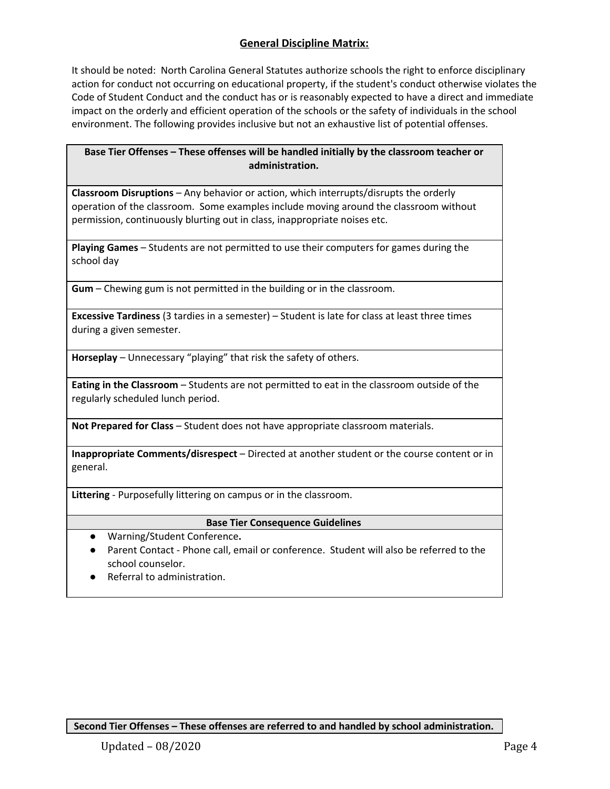## **General Discipline Matrix:**

It should be noted: North Carolina General Statutes authorize schools the right to enforce disciplinary action for conduct not occurring on educational property, if the student's conduct otherwise violates the Code of Student Conduct and the conduct has or is reasonably expected to have a direct and immediate impact on the orderly and efficient operation of the schools or the safety of individuals in the school environment. The following provides inclusive but not an exhaustive list of potential offenses.

#### **Base Tier Offenses – These offenses will be handled initially by the classroom teacher or administration.**

**Classroom Disruptions** – Any behavior or action, which interrupts/disrupts the orderly operation of the classroom. Some examples include moving around the classroom without permission, continuously blurting out in class, inappropriate noises etc.

**Playing Games** – Students are not permitted to use their computers for games during the school day

**Gum** – Chewing gum is not permitted in the building or in the classroom.

**Excessive Tardiness** (3 tardies in a semester) – Student is late for class at least three times during a given semester.

**Horseplay** – Unnecessary "playing" that risk the safety of others.

**Eating in the Classroom** – Students are not permitted to eat in the classroom outside of the regularly scheduled lunch period.

**Not Prepared for Class** – Student does not have appropriate classroom materials.

**Inappropriate Comments/disrespect** – Directed at another student or the course content or in general.

**Littering** - Purposefully littering on campus or in the classroom.

#### **Base Tier Consequence Guidelines**

- **●** Warning/Student Conference**.**
- Parent Contact Phone call, email or conference. Student will also be referred to the school counselor.
- **●** Referral to administration.

**Second Tier Offenses – These offenses are referred to and handled by school administration.**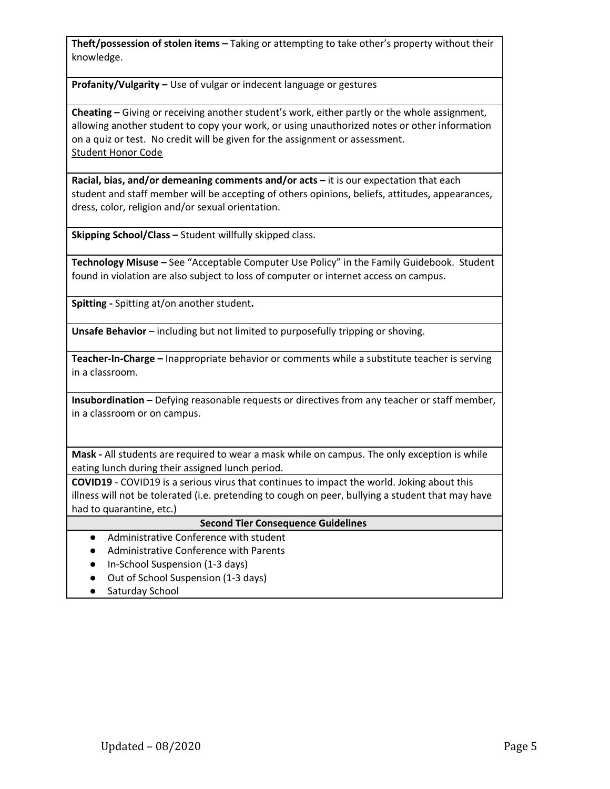**Theft/possession of stolen items –** Taking or attempting to take other's property without their knowledge.

**Profanity/Vulgarity –** Use of vulgar or indecent language or gestures

**Cheating –** Giving or receiving another student's work, either partly or the whole assignment, allowing another student to copy your work, or using unauthorized notes or other information on a quiz or test. No credit will be given for the assignment or assessment. [Student](http://../I%20pledge%20to%20support%20the%20Honor%20Code%20of%20Pine%20Lake%20Preparatory.docx) Honor Code

**Racial, bias, and/or demeaning comments and/or acts –** it is our expectation that each student and staff member will be accepting of others opinions, beliefs, attitudes, appearances, dress, color, religion and/or sexual orientation.

**Skipping School/Class –** Student willfully skipped class.

**Technology Misuse –** See "Acceptable Computer Use Policy" in the Family Guidebook. Student found in violation are also subject to loss of computer or internet access on campus.

**Spitting -** Spitting at/on another student**.**

**Unsafe Behavior** – including but not limited to purposefully tripping or shoving.

**Teacher-In-Charge –** Inappropriate behavior or comments while a substitute teacher is serving in a classroom.

**Insubordination –** Defying reasonable requests or directives from any teacher or staff member, in a classroom or on campus.

**Mask -** All students are required to wear a mask while on campus. The only exception is while eating lunch during their assigned lunch period.

**COVID19** - COVID19 is a serious virus that continues to impact the world. Joking about this illness will not be tolerated (i.e. pretending to cough on peer, bullying a student that may have had to quarantine, etc.)

#### **Second Tier Consequence Guidelines**

- Administrative Conference with student
- Administrative Conference with Parents
- In-School Suspension (1-3 days)
- Out of School Suspension (1-3 days)
- Saturday School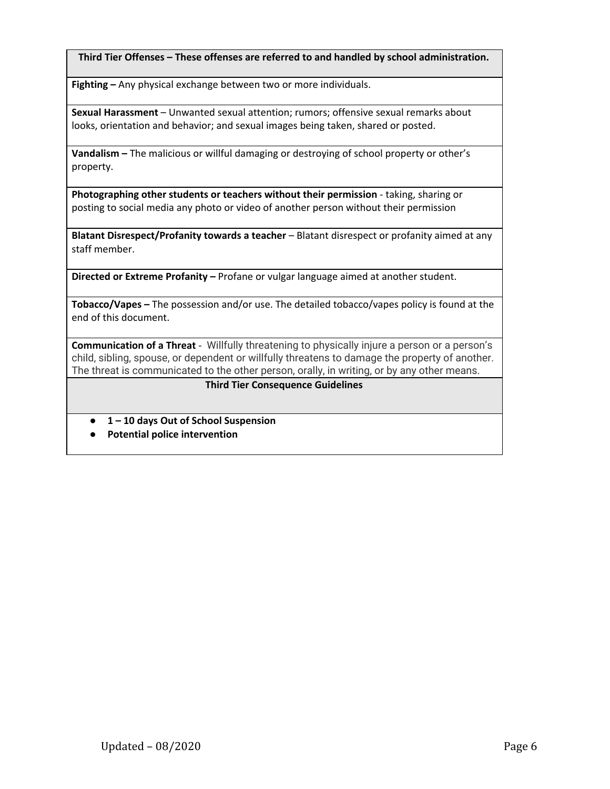**Third Tier Offenses – These offenses are referred to and handled by school administration.**

**Fighting –** Any physical exchange between two or more individuals.

**Sexual Harassment** – Unwanted sexual attention; rumors; offensive sexual remarks about looks, orientation and behavior; and sexual images being taken, shared or posted.

**Vandalism –** The malicious or willful damaging or destroying of school property or other's property.

**Photographing other students or teachers without their permission** - taking, sharing or posting to social media any photo or video of another person without their permission

**Blatant Disrespect/Profanity towards a teacher** – Blatant disrespect or profanity aimed at any staff member.

**Directed or Extreme Profanity –** Profane or vulgar language aimed at another student.

**Tobacco/Vapes –** The possession and/or use. The detailed tobacco/vapes policy is found at the end of this document.

**Communication of a Threat** - Willfully threatening to physically injure a person or a person's child, sibling, spouse, or dependent or willfully threatens to damage the property of another. The threat is communicated to the other person, orally, in writing, or by any other means.

#### **Third Tier Consequence Guidelines**

- **● 1 – 10 days Out of School Suspension**
- **● Potential police intervention**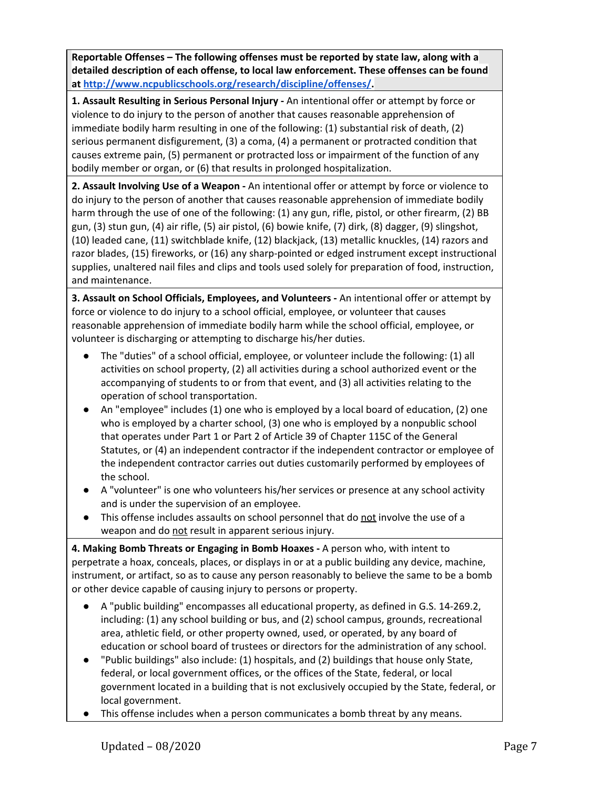**Reportable Offenses – The following offenses must be reported by state law, along with a detailed description of each offense, to local law enforcement. These offenses can be found at [http://www.ncpublicschools.org/research/discipline/offenses/.](http://www.ncpublicschools.org/research/discipline/offenses/)**

**1. Assault Resulting in Serious Personal Injury -** An intentional offer or attempt by force or violence to do injury to the person of another that causes reasonable apprehension of immediate bodily harm resulting in one of the following: (1) substantial risk of death, (2) serious permanent disfigurement, (3) a coma, (4) a permanent or protracted condition that causes extreme pain, (5) permanent or protracted loss or impairment of the function of any bodily member or organ, or (6) that results in prolonged hospitalization.

**2. Assault Involving Use of a Weapon -** An intentional offer or attempt by force or violence to do injury to the person of another that causes reasonable apprehension of immediate bodily harm through the use of one of the following: (1) any gun, rifle, pistol, or other firearm, (2) BB gun, (3) stun gun, (4) air rifle, (5) air pistol, (6) bowie knife, (7) dirk, (8) dagger, (9) slingshot, (10) leaded cane, (11) switchblade knife, (12) blackjack, (13) metallic knuckles, (14) razors and razor blades, (15) fireworks, or (16) any sharp-pointed or edged instrument except instructional supplies, unaltered nail files and clips and tools used solely for preparation of food, instruction, and maintenance.

**3. Assault on School Officials, Employees, and Volunteers -** An intentional offer or attempt by force or violence to do injury to a school official, employee, or volunteer that causes reasonable apprehension of immediate bodily harm while the school official, employee, or volunteer is discharging or attempting to discharge his/her duties.

- The "duties" of a school official, employee, or volunteer include the following: (1) all activities on school property, (2) all activities during a school authorized event or the accompanying of students to or from that event, and (3) all activities relating to the operation of school transportation.
- An "employee" includes (1) one who is employed by a local board of education, (2) one who is employed by a charter school, (3) one who is employed by a nonpublic school that operates under Part 1 or Part 2 of Article 39 of Chapter 115C of the General Statutes, or (4) an independent contractor if the independent contractor or employee of the independent contractor carries out duties customarily performed by employees of the school.
- A "volunteer" is one who volunteers his/her services or presence at any school activity and is under the supervision of an employee.
- This offense includes assaults on school personnel that do not involve the use of a weapon and do not result in apparent serious injury.

**4. Making Bomb Threats or Engaging in Bomb Hoaxes -** A person who, with intent to perpetrate a hoax, conceals, places, or displays in or at a public building any device, machine, instrument, or artifact, so as to cause any person reasonably to believe the same to be a bomb or other device capable of causing injury to persons or property.

- A "public building" encompasses all educational property, as defined in G.S. 14-269.2, including: (1) any school building or bus, and (2) school campus, grounds, recreational area, athletic field, or other property owned, used, or operated, by any board of education or school board of trustees or directors for the administration of any school.
- "Public buildings" also include: (1) hospitals, and (2) buildings that house only State, federal, or local government offices, or the offices of the State, federal, or local government located in a building that is not exclusively occupied by the State, federal, or local government.
- This offense includes when a person communicates a bomb threat by any means.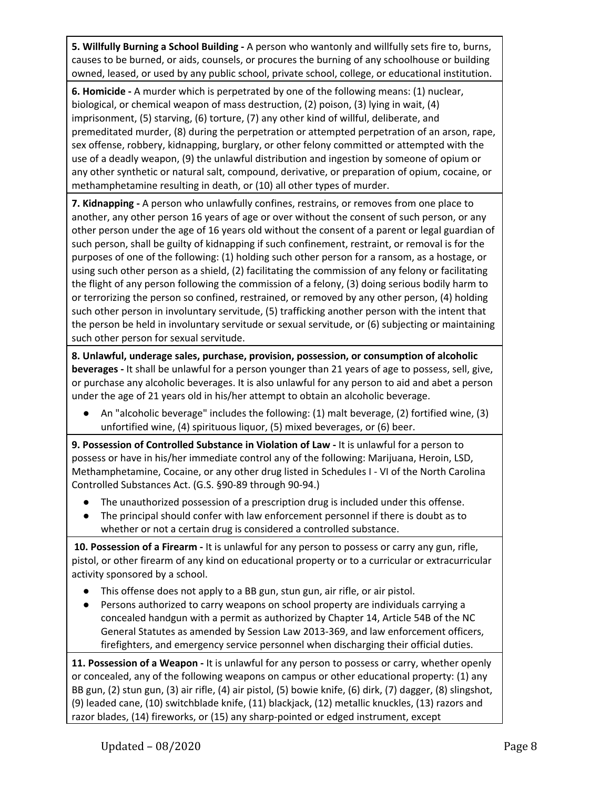**5. Willfully Burning a School Building -** A person who wantonly and willfully sets fire to, burns, causes to be burned, or aids, counsels, or procures the burning of any schoolhouse or building owned, leased, or used by any public school, private school, college, or educational institution.

**6. Homicide -** A murder which is perpetrated by one of the following means: (1) nuclear, biological, or chemical weapon of mass destruction, (2) poison, (3) lying in wait, (4) imprisonment, (5) starving, (6) torture, (7) any other kind of willful, deliberate, and premeditated murder, (8) during the perpetration or attempted perpetration of an arson, rape, sex offense, robbery, kidnapping, burglary, or other felony committed or attempted with the use of a deadly weapon, (9) the unlawful distribution and ingestion by someone of opium or any other synthetic or natural salt, compound, derivative, or preparation of opium, cocaine, or methamphetamine resulting in death, or (10) all other types of murder.

**7. Kidnapping -** A person who unlawfully confines, restrains, or removes from one place to another, any other person 16 years of age or over without the consent of such person, or any other person under the age of 16 years old without the consent of a parent or legal guardian of such person, shall be guilty of kidnapping if such confinement, restraint, or removal is for the purposes of one of the following: (1) holding such other person for a ransom, as a hostage, or using such other person as a shield, (2) facilitating the commission of any felony or facilitating the flight of any person following the commission of a felony, (3) doing serious bodily harm to or terrorizing the person so confined, restrained, or removed by any other person, (4) holding such other person in involuntary servitude, (5) trafficking another person with the intent that the person be held in involuntary servitude or sexual servitude, or (6) subjecting or maintaining such other person for sexual servitude.

**8. Unlawful, underage sales, purchase, provision, possession, or consumption of alcoholic beverages -** It shall be unlawful for a person younger than 21 years of age to possess, sell, give, or purchase any alcoholic beverages. It is also unlawful for any person to aid and abet a person under the age of 21 years old in his/her attempt to obtain an alcoholic beverage.

**●** An "alcoholic beverage" includes the following: (1) malt beverage, (2) fortified wine, (3) unfortified wine, (4) spirituous liquor, (5) mixed beverages, or (6) beer.

**9. Possession of Controlled Substance in Violation of Law -** It is unlawful for a person to possess or have in his/her immediate control any of the following: Marijuana, Heroin, LSD, Methamphetamine, Cocaine, or any other drug listed in Schedules I - VI of the North Carolina Controlled Substances Act. (G.S. §90-89 through 90-94.)

- The unauthorized possession of a prescription drug is included under this offense.
- The principal should confer with law enforcement personnel if there is doubt as to whether or not a certain drug is considered a controlled substance.

**10. Possession of a Firearm -** It is unlawful for any person to possess or carry any gun, rifle, pistol, or other firearm of any kind on educational property or to a curricular or extracurricular activity sponsored by a school.

- This offense does not apply to a BB gun, stun gun, air rifle, or air pistol.
- Persons authorized to carry weapons on school property are individuals carrying a concealed handgun with a permit as authorized by Chapter 14, Article 54B of the NC General Statutes as amended by Session Law 2013-369, and law enforcement officers, firefighters, and emergency service personnel when discharging their official duties.

**11. Possession of a Weapon -** It is unlawful for any person to possess or carry, whether openly or concealed, any of the following weapons on campus or other educational property: (1) any BB gun, (2) stun gun, (3) air rifle, (4) air pistol, (5) bowie knife, (6) dirk, (7) dagger, (8) slingshot, (9) leaded cane, (10) switchblade knife, (11) blackjack, (12) metallic knuckles, (13) razors and razor blades, (14) fireworks, or (15) any sharp-pointed or edged instrument, except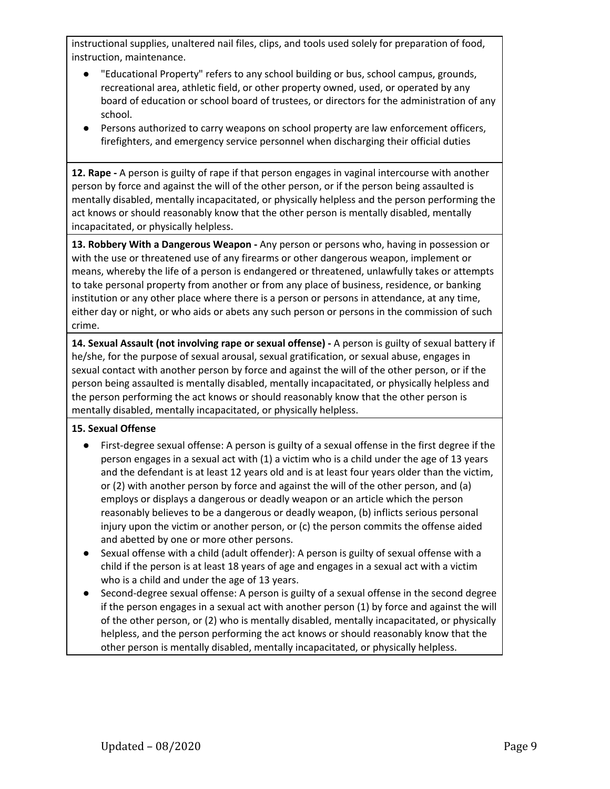instructional supplies, unaltered nail files, clips, and tools used solely for preparation of food, instruction, maintenance.

- "Educational Property" refers to any school building or bus, school campus, grounds, recreational area, athletic field, or other property owned, used, or operated by any board of education or school board of trustees, or directors for the administration of any school.
- Persons authorized to carry weapons on school property are law enforcement officers, firefighters, and emergency service personnel when discharging their official duties

**12. Rape -** A person is guilty of rape if that person engages in vaginal intercourse with another person by force and against the will of the other person, or if the person being assaulted is mentally disabled, mentally incapacitated, or physically helpless and the person performing the act knows or should reasonably know that the other person is mentally disabled, mentally incapacitated, or physically helpless.

**13. Robbery With a Dangerous Weapon -** Any person or persons who, having in possession or with the use or threatened use of any firearms or other dangerous weapon, implement or means, whereby the life of a person is endangered or threatened, unlawfully takes or attempts to take personal property from another or from any place of business, residence, or banking institution or any other place where there is a person or persons in attendance, at any time, either day or night, or who aids or abets any such person or persons in the commission of such crime.

**14. Sexual Assault (not involving rape or sexual offense) -** A person is guilty of sexual battery if he/she, for the purpose of sexual arousal, sexual gratification, or sexual abuse, engages in sexual contact with another person by force and against the will of the other person, or if the person being assaulted is mentally disabled, mentally incapacitated, or physically helpless and the person performing the act knows or should reasonably know that the other person is mentally disabled, mentally incapacitated, or physically helpless.

### **15. Sexual Offense**

- First-degree sexual offense: A person is guilty of a sexual offense in the first degree if the person engages in a sexual act with (1) a victim who is a child under the age of 13 years and the defendant is at least 12 years old and is at least four years older than the victim, or (2) with another person by force and against the will of the other person, and (a) employs or displays a dangerous or deadly weapon or an article which the person reasonably believes to be a dangerous or deadly weapon, (b) inflicts serious personal injury upon the victim or another person, or (c) the person commits the offense aided and abetted by one or more other persons.
- Sexual offense with a child (adult offender): A person is guilty of sexual offense with a child if the person is at least 18 years of age and engages in a sexual act with a victim who is a child and under the age of 13 years.
- Second-degree sexual offense: A person is guilty of a sexual offense in the second degree if the person engages in a sexual act with another person (1) by force and against the will of the other person, or (2) who is mentally disabled, mentally incapacitated, or physically helpless, and the person performing the act knows or should reasonably know that the other person is mentally disabled, mentally incapacitated, or physically helpless.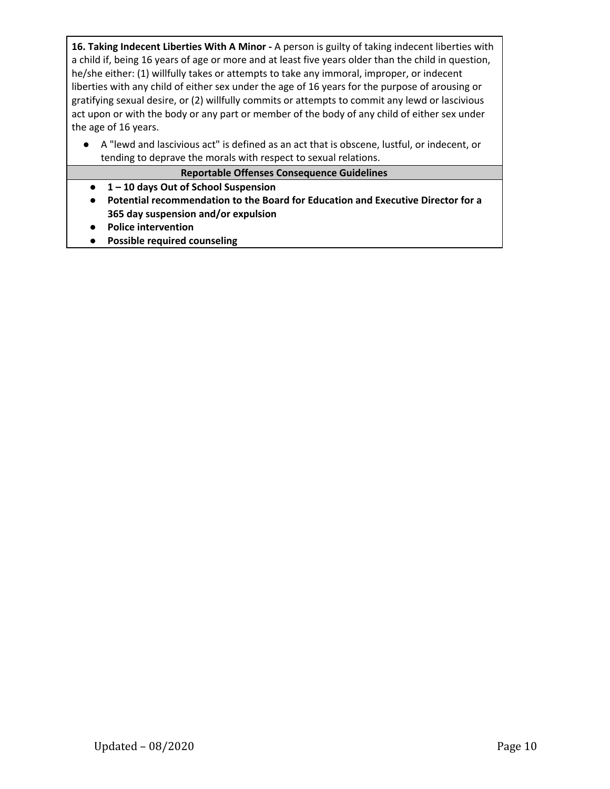**16. Taking Indecent Liberties With A Minor -** A person is guilty of taking indecent liberties with a child if, being 16 years of age or more and at least five years older than the child in question, he/she either: (1) willfully takes or attempts to take any immoral, improper, or indecent liberties with any child of either sex under the age of 16 years for the purpose of arousing or gratifying sexual desire, or (2) willfully commits or attempts to commit any lewd or lascivious act upon or with the body or any part or member of the body of any child of either sex under the age of 16 years.

● A "lewd and lascivious act" is defined as an act that is obscene, lustful, or indecent, or tending to deprave the morals with respect to sexual relations.

#### **Reportable Offenses Consequence Guidelines**

- **● 1 – 10 days Out of School Suspension**
- **● Potential recommendation to the Board for Education and Executive Director for a 365 day suspension and/or expulsion**
- **● Police intervention**
- **● Possible required counseling**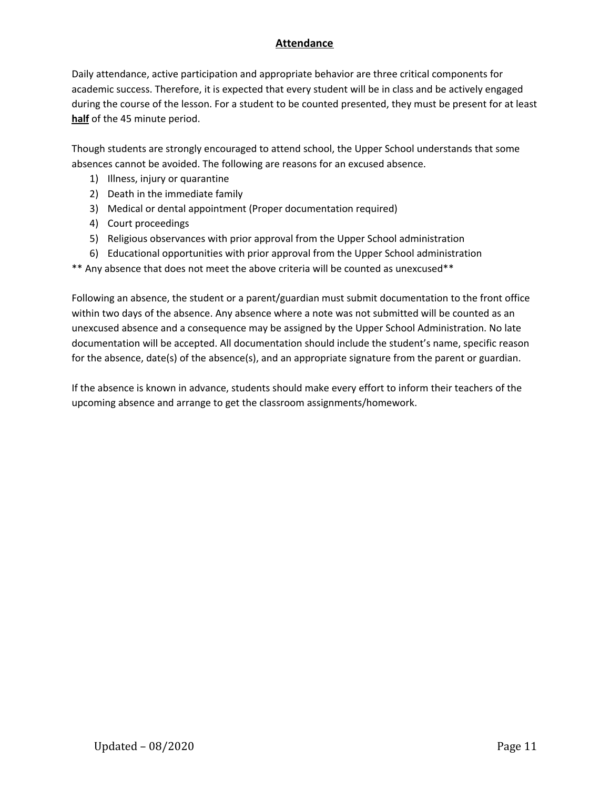## **Attendance**

Daily attendance, active participation and appropriate behavior are three critical components for academic success. Therefore, it is expected that every student will be in class and be actively engaged during the course of the lesson. For a student to be counted presented, they must be present for at least **half** of the 45 minute period.

Though students are strongly encouraged to attend school, the Upper School understands that some absences cannot be avoided. The following are reasons for an excused absence.

- 1) Illness, injury or quarantine
- 2) Death in the immediate family
- 3) Medical or dental appointment (Proper documentation required)
- 4) Court proceedings
- 5) Religious observances with prior approval from the Upper School administration
- 6) Educational opportunities with prior approval from the Upper School administration
- \*\* Any absence that does not meet the above criteria will be counted as unexcused\*\*

Following an absence, the student or a parent/guardian must submit documentation to the front office within two days of the absence. Any absence where a note was not submitted will be counted as an unexcused absence and a consequence may be assigned by the Upper School Administration. No late documentation will be accepted. All documentation should include the student's name, specific reason for the absence, date(s) of the absence(s), and an appropriate signature from the parent or guardian.

If the absence is known in advance, students should make every effort to inform their teachers of the upcoming absence and arrange to get the classroom assignments/homework.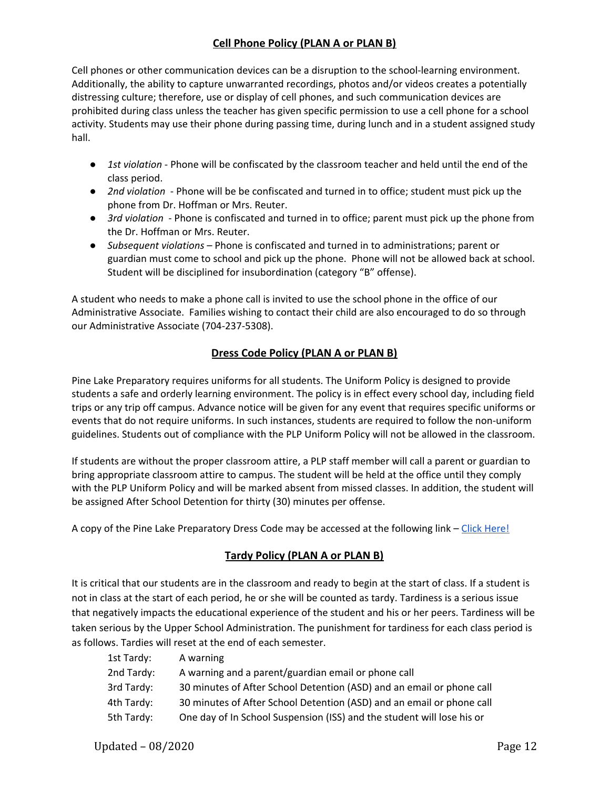## **Cell Phone Policy (PLAN A or PLAN B)**

Cell phones or other communication devices can be a disruption to the school-learning environment. Additionally, the ability to capture unwarranted recordings, photos and/or videos creates a potentially distressing culture; therefore, use or display of cell phones, and such communication devices are prohibited during class unless the teacher has given specific permission to use a cell phone for a school activity. Students may use their phone during passing time, during lunch and in a student assigned study hall.

- *1st violation* Phone will be confiscated by the classroom teacher and held until the end of the class period.
- *2nd violation* Phone will be be confiscated and turned in to office; student must pick up the phone from Dr. Hoffman or Mrs. Reuter.
- *3rd violation* Phone is confiscated and turned in to office; parent must pick up the phone from the Dr. Hoffman or Mrs. Reuter.
- *Subsequent violations* Phone is confiscated and turned in to administrations; parent or guardian must come to school and pick up the phone. Phone will not be allowed back at school. Student will be disciplined for insubordination (category "B" offense).

A student who needs to make a phone call is invited to use the school phone in the office of our Administrative Associate. Families wishing to contact their child are also encouraged to do so through our Administrative Associate (704-237-5308).

## **Dress Code Policy (PLAN A or PLAN B)**

Pine Lake Preparatory requires uniforms for all students. The Uniform Policy is designed to provide students a safe and orderly learning environment. The policy is in effect every school day, including field trips or any trip off campus. Advance notice will be given for any event that requires specific uniforms or events that do not require uniforms. In such instances, students are required to follow the non-uniform guidelines. Students out of compliance with the PLP Uniform Policy will not be allowed in the classroom.

If students are without the proper classroom attire, a PLP staff member will call a parent or guardian to bring appropriate classroom attire to campus. The student will be held at the office until they comply with the PLP Uniform Policy and will be marked absent from missed classes. In addition, the student will be assigned After School Detention for thirty (30) minutes per offense.

A copy of the Pine Lake Preparatory Dress Code may be accessed at the following link – Click [Here!](http://www.pinelakeprep.org/UserFiles/Servers/Server_7664/File/Uniform%20Policy%20-%20August%201,%202018.pdf)

## **Tardy Policy (PLAN A or PLAN B)**

It is critical that our students are in the classroom and ready to begin at the start of class. If a student is not in class at the start of each period, he or she will be counted as tardy. Tardiness is a serious issue that negatively impacts the educational experience of the student and his or her peers. Tardiness will be taken serious by the Upper School Administration. The punishment for tardiness for each class period is as follows. Tardies will reset at the end of each semester.

| 1st Tardy: | A warning                                                              |
|------------|------------------------------------------------------------------------|
| 2nd Tardy: | A warning and a parent/guardian email or phone call                    |
| 3rd Tardy: | 30 minutes of After School Detention (ASD) and an email or phone call  |
| 4th Tardy: | 30 minutes of After School Detention (ASD) and an email or phone call  |
| 5th Tardy: | One day of In School Suspension (ISS) and the student will lose his or |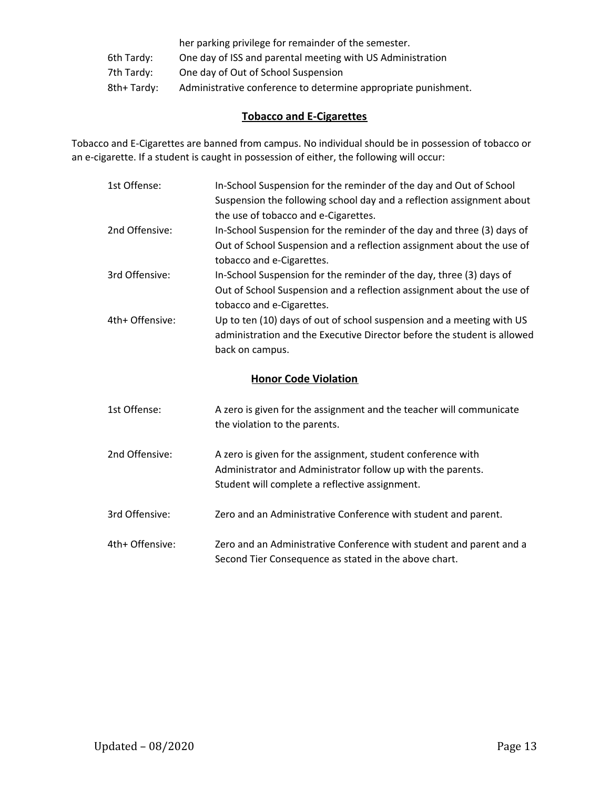|            | her parking privilege for remainder of the semester.           |
|------------|----------------------------------------------------------------|
| 6th Tardy: | One day of ISS and parental meeting with US Administration     |
| 7th Tardy: | One day of Out of School Suspension                            |
| 8th+Tardy: | Administrative conference to determine appropriate punishment. |

## **Tobacco and E-Cigarettes**

Tobacco and E-Cigarettes are banned from campus. No individual should be in possession of tobacco or an e-cigarette. If a student is caught in possession of either, the following will occur:

| 1st Offense:                | In-School Suspension for the reminder of the day and Out of School<br>Suspension the following school day and a reflection assignment about<br>the use of tobacco and e-Cigarettes. |  |
|-----------------------------|-------------------------------------------------------------------------------------------------------------------------------------------------------------------------------------|--|
| 2nd Offensive:              | In-School Suspension for the reminder of the day and three (3) days of<br>Out of School Suspension and a reflection assignment about the use of<br>tobacco and e-Cigarettes.        |  |
| 3rd Offensive:              | In-School Suspension for the reminder of the day, three (3) days of<br>Out of School Suspension and a reflection assignment about the use of<br>tobacco and e-Cigarettes.           |  |
| 4th+ Offensive:             | Up to ten (10) days of out of school suspension and a meeting with US<br>administration and the Executive Director before the student is allowed<br>back on campus.                 |  |
| <b>Honor Code Violation</b> |                                                                                                                                                                                     |  |

| 1st Offense:    | A zero is given for the assignment and the teacher will communicate<br>the violation to the parents.                                                                         |
|-----------------|------------------------------------------------------------------------------------------------------------------------------------------------------------------------------|
| 2nd Offensive:  | A zero is given for the assignment, student conference with<br>Administrator and Administrator follow up with the parents.<br>Student will complete a reflective assignment. |
| 3rd Offensive:  | Zero and an Administrative Conference with student and parent.                                                                                                               |
| 4th+ Offensive: | Zero and an Administrative Conference with student and parent and a<br>Second Tier Consequence as stated in the above chart.                                                 |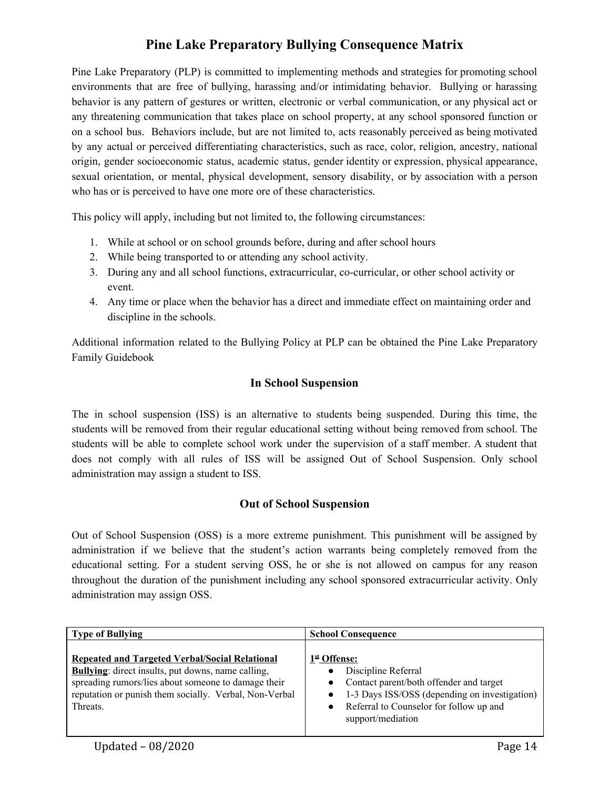## **Pine Lake Preparatory Bullying Consequence Matrix**

Pine Lake Preparatory (PLP) is committed to implementing methods and strategies for promoting school environments that are free of bullying, harassing and/or intimidating behavior. Bullying or harassing behavior is any pattern of gestures or written, electronic or verbal communication, or any physical act or any threatening communication that takes place on school property, at any school sponsored function or on a school bus. Behaviors include, but are not limited to, acts reasonably perceived as being motivated by any actual or perceived differentiating characteristics, such as race, color, religion, ancestry, national origin, gender socioeconomic status, academic status, gender identity or expression, physical appearance, sexual orientation, or mental, physical development, sensory disability, or by association with a person who has or is perceived to have one more ore of these characteristics.

This policy will apply, including but not limited to, the following circumstances:

- 1. While at school or on school grounds before, during and after school hours
- 2. While being transported to or attending any school activity.
- 3. During any and all school functions, extracurricular, co-curricular, or other school activity or event.
- 4. Any time or place when the behavior has a direct and immediate effect on maintaining order and discipline in the schools.

Additional information related to the Bullying Policy at PLP can be obtained the Pine Lake Preparatory Family Guidebook

## **In School Suspension**

The in school suspension (ISS) is an alternative to students being suspended. During this time, the students will be removed from their regular educational setting without being removed from school. The students will be able to complete school work under the supervision of a staff member. A student that does not comply with all rules of ISS will be assigned Out of School Suspension. Only school administration may assign a student to ISS.

## **Out of School Suspension**

Out of School Suspension (OSS) is a more extreme punishment. This punishment will be assigned by administration if we believe that the student's action warrants being completely removed from the educational setting. For a student serving OSS, he or she is not allowed on campus for any reason throughout the duration of the punishment including any school sponsored extracurricular activity. Only administration may assign OSS.

| <b>Type of Bullying</b>                                                                                                                                                                                                                         | <b>School Consequence</b>                                                                                                                                                                                    |  |
|-------------------------------------------------------------------------------------------------------------------------------------------------------------------------------------------------------------------------------------------------|--------------------------------------------------------------------------------------------------------------------------------------------------------------------------------------------------------------|--|
| <b>Repeated and Targeted Verbal/Social Relational</b><br><b>Bullying:</b> direct insults, put downs, name calling,<br>spreading rumors/lies about someone to damage their<br>reputation or punish them socially. Verbal, Non-Verbal<br>Threats. | 1st Offense:<br>Discipline Referral<br>Contact parent/both offender and target<br>1-3 Days ISS/OSS (depending on investigation)<br>Referral to Counselor for follow up and<br>$\bullet$<br>support/mediation |  |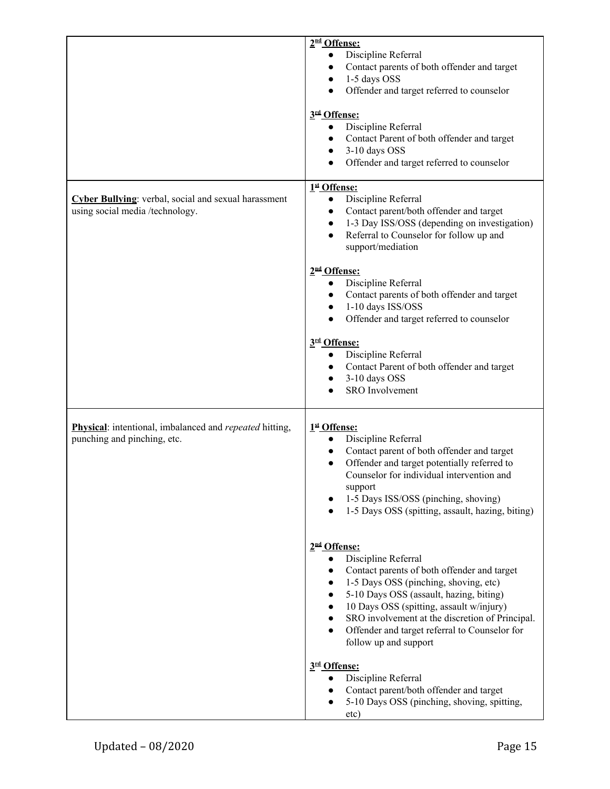|                                                                                                      | 2 <sup>nd</sup> Offense:<br>Discipline Referral<br>$\bullet$<br>Contact parents of both offender and target<br>$\bullet$<br>1-5 days OSS<br>$\bullet$<br>Offender and target referred to counselor<br>$\bullet$<br>3rd Offense:<br>Discipline Referral<br>$\bullet$<br>Contact Parent of both offender and target<br>$\bullet$<br>3-10 days OSS<br>$\bullet$<br>Offender and target referred to counselor<br>$\bullet$       |
|------------------------------------------------------------------------------------------------------|------------------------------------------------------------------------------------------------------------------------------------------------------------------------------------------------------------------------------------------------------------------------------------------------------------------------------------------------------------------------------------------------------------------------------|
| Cyber Bullying: verbal, social and sexual harassment<br>using social media /technology.              | 1st Offense:<br>Discipline Referral<br>$\bullet$<br>Contact parent/both offender and target<br>$\bullet$<br>1-3 Day ISS/OSS (depending on investigation)<br>$\bullet$<br>Referral to Counselor for follow up and<br>$\bullet$<br>support/mediation                                                                                                                                                                           |
|                                                                                                      | 2 <sup>nd</sup> Offense:<br>Discipline Referral<br>$\bullet$<br>Contact parents of both offender and target<br>$\bullet$<br>1-10 days ISS/OSS<br>$\bullet$<br>Offender and target referred to counselor<br>$\bullet$<br>3rd Offense:<br>Discipline Referral<br>$\bullet$<br>Contact Parent of both offender and target<br>$\bullet$<br>3-10 days OSS<br>$\bullet$<br><b>SRO</b> Involvement                                  |
| <b>Physical:</b> intentional, imbalanced and <i>repeated</i> hitting,<br>punching and pinching, etc. | 1st Offense:<br>Discipline Referral<br>$\bullet$<br>Contact parent of both offender and target<br>$\bullet$<br>Offender and target potentially referred to<br>$\bullet$<br>Counselor for individual intervention and<br>support<br>1-5 Days ISS/OSS (pinching, shoving)<br>1-5 Days OSS (spitting, assault, hazing, biting)                                                                                                  |
|                                                                                                      | 2 <sup>nd</sup> Offense:<br>Discipline Referral<br>Contact parents of both offender and target<br>1-5 Days OSS (pinching, shoving, etc)<br>$\bullet$<br>5-10 Days OSS (assault, hazing, biting)<br>$\bullet$<br>10 Days OSS (spitting, assault w/injury)<br>$\bullet$<br>SRO involvement at the discretion of Principal.<br>$\bullet$<br>Offender and target referral to Counselor for<br>$\bullet$<br>follow up and support |
|                                                                                                      | 3rd Offense:<br>Discipline Referral<br>Contact parent/both offender and target<br>5-10 Days OSS (pinching, shoving, spitting,<br>etc)                                                                                                                                                                                                                                                                                        |